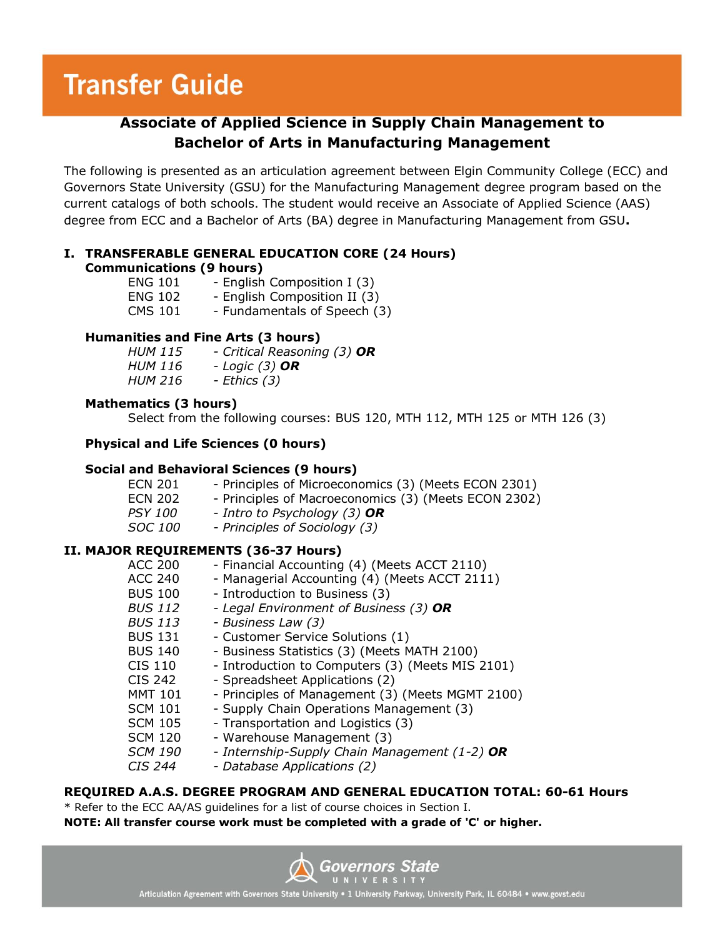# **Transfer Guide**

### **Associate of Applied Science in Supply Chain Management to Bachelor of Arts in Manufacturing Management**

The following is presented as an articulation agreement between Elgin Community College (ECC) and Governors State University (GSU) for the Manufacturing Management degree program based on the current catalogs of both schools. The student would receive an Associate of Applied Science (AAS) degree from ECC and a Bachelor of Arts (BA) degree in Manufacturing Management from GSU**.**

#### **I. TRANSFERABLE GENERAL EDUCATION CORE (24 Hours) Communications (9 hours)**

| <b>ENG 101</b> | - English Composition I (3)  |
|----------------|------------------------------|
| <b>ENG 102</b> | - English Composition II (3) |
| <b>CMS 101</b> | - Fundamentals of Speech (3) |

#### **Humanities and Fine Arts (3 hours)**

| <b>HUM 115</b> | - Critical Reasoning (3) OR |
|----------------|-----------------------------|
| HUM 116        | - Logic $(3)$ OR            |
| <i>HUM 216</i> | - Ethics (3)                |

#### **Mathematics (3 hours)**

Select from the following courses: BUS 120, MTH 112, MTH 125 or MTH 126 (3)

#### **Physical and Life Sciences (0 hours)**

#### **Social and Behavioral Sciences (9 hours)**

| <b>ECN 201</b> | - Principles of Microeconomics (3) (Meets ECON 2301) |
|----------------|------------------------------------------------------|
| <b>ECN 202</b> | - Principles of Macroeconomics (3) (Meets ECON 2302) |
| <i>PSY 100</i> | - Intro to Psychology (3) $OR$                       |
| ------         |                                                      |

## *SOC 100 - Principles of Sociology (3)*

#### **II. MAJOR REQUIREMENTS (36-37 Hours)**

| <b>ACC 200</b> | - Financial Accounting (4) (Meets ACCT 2110)     |
|----------------|--------------------------------------------------|
| <b>ACC 240</b> | - Managerial Accounting (4) (Meets ACCT 2111)    |
| <b>BUS 100</b> | - Introduction to Business (3)                   |
| <b>BUS 112</b> | - Legal Environment of Business (3) OR           |
| <b>BUS 113</b> | - Business Law (3)                               |
| <b>BUS 131</b> | - Customer Service Solutions (1)                 |
| <b>BUS 140</b> | - Business Statistics (3) (Meets MATH 2100)      |
| CIS 110        | - Introduction to Computers (3) (Meets MIS 2101) |
| CIS 242        | - Spreadsheet Applications (2)                   |
| <b>MMT 101</b> | - Principles of Management (3) (Meets MGMT 2100) |
| <b>SCM 101</b> | - Supply Chain Operations Management (3)         |
| <b>SCM 105</b> | - Transportation and Logistics (3)               |
| <b>SCM 120</b> | - Warehouse Management (3)                       |
| <b>SCM 190</b> | - Internship-Supply Chain Management (1-2) OR    |
| <i>CIS 244</i> | - Database Applications (2)                      |
|                |                                                  |

#### **REQUIRED A.A.S. DEGREE PROGRAM AND GENERAL EDUCATION TOTAL: 60-61 Hours**

\* Refer to the ECC AA/AS guidelines for a list of course choices in Section I. **NOTE: All transfer course work must be completed with a grade of 'C' or higher.**